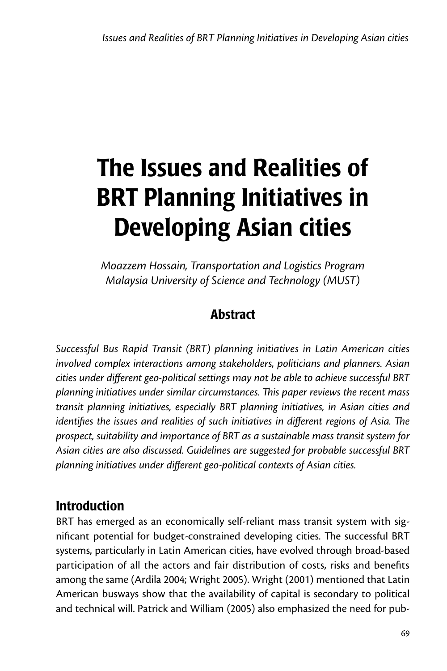# The Issues and Realities of BRT Planning Initiatives in Developing Asian cities

*Moazzem Hossain, Transportation and Logistics Program Malaysia University of Science and Technology (MUST)*

## **Abstract**

*Successful Bus Rapid Transit (BRT) planning initiatives in Latin American cities involved complex interactions among stakeholders, politicians and planners. Asian cities under different geo-political settings may not be able to achieve successful BRT planning initiatives under similar circumstances. This paper reviews the recent mass transit planning initiatives, especially BRT planning initiatives, in Asian cities and identifies the issues and realities of such initiatives in different regions of Asia. The prospect, suitability and importance of BRT as a sustainable mass transit system for Asian cities are also discussed. Guidelines are suggested for probable successful BRT planning initiatives under different geo-political contexts of Asian cities.*

# **Introduction**

BRT has emerged as an economically self-reliant mass transit system with significant potential for budget-constrained developing cities. The successful BRT systems, particularly in Latin American cities, have evolved through broad-based participation of all the actors and fair distribution of costs, risks and benefits among the same (Ardila 2004; Wright 2005). Wright (2001) mentioned that Latin American busways show that the availability of capital is secondary to political and technical will. Patrick and William (2005) also emphasized the need for pub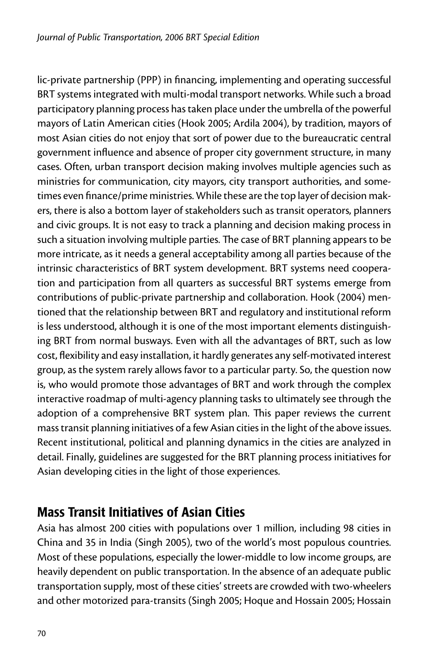lic-private partnership (PPP) in financing, implementing and operating successful BRT systems integrated with multi-modal transport networks. While such a broad participatory planning process has taken place under the umbrella of the powerful mayors of Latin American cities (Hook 2005; Ardila 2004), by tradition, mayors of most Asian cities do not enjoy that sort of power due to the bureaucratic central government influence and absence of proper city government structure, in many cases. Often, urban transport decision making involves multiple agencies such as ministries for communication, city mayors, city transport authorities, and sometimes even finance/prime ministries. While these are the top layer of decision makers, there is also a bottom layer of stakeholders such as transit operators, planners and civic groups. It is not easy to track a planning and decision making process in such a situation involving multiple parties. The case of BRT planning appears to be more intricate, as it needs a general acceptability among all parties because of the intrinsic characteristics of BRT system development. BRT systems need cooperation and participation from all quarters as successful BRT systems emerge from contributions of public-private partnership and collaboration. Hook (2004) mentioned that the relationship between BRT and regulatory and institutional reform is less understood, although it is one of the most important elements distinguishing BRT from normal busways. Even with all the advantages of BRT, such as low cost, flexibility and easy installation, it hardly generates any self-motivated interest group, as the system rarely allows favor to a particular party. So, the question now is, who would promote those advantages of BRT and work through the complex interactive roadmap of multi-agency planning tasks to ultimately see through the adoption of a comprehensive BRT system plan. This paper reviews the current mass transit planning initiatives of a few Asian cities in the light of the above issues. Recent institutional, political and planning dynamics in the cities are analyzed in detail. Finally, guidelines are suggested for the BRT planning process initiatives for Asian developing cities in the light of those experiences.

## Mass Transit Initiatives of Asian Cities

Asia has almost 200 cities with populations over 1 million, including 98 cities in China and 35 in India (Singh 2005), two of the world's most populous countries. Most of these populations, especially the lower-middle to low income groups, are heavily dependent on public transportation. In the absence of an adequate public transportation supply, most of these cities' streets are crowded with two-wheelers and other motorized para-transits (Singh 2005; Hoque and Hossain 2005; Hossain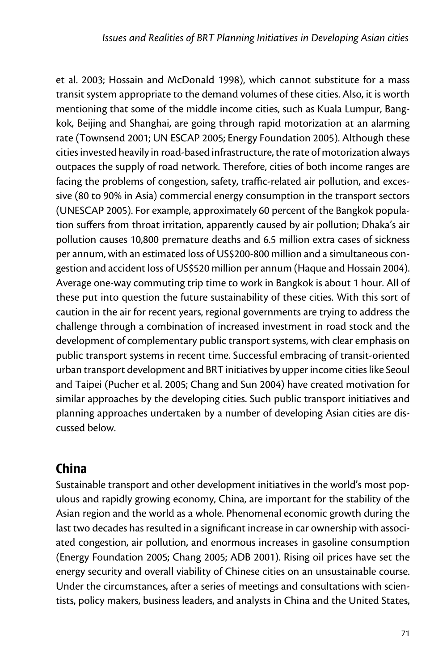et al. 2003; Hossain and McDonald 1998), which cannot substitute for a mass transit system appropriate to the demand volumes of these cities. Also, it is worth mentioning that some of the middle income cities, such as Kuala Lumpur, Bangkok, Beijing and Shanghai, are going through rapid motorization at an alarming rate (Townsend 2001; UN ESCAP 2005; Energy Foundation 2005). Although these cities invested heavily in road-based infrastructure, the rate of motorization always outpaces the supply of road network. Therefore, cities of both income ranges are facing the problems of congestion, safety, traffic-related air pollution, and excessive (80 to 90% in Asia) commercial energy consumption in the transport sectors (UNESCAP 2005). For example, approximately 60 percent of the Bangkok population suffers from throat irritation, apparently caused by air pollution; Dhaka's air pollution causes 10,800 premature deaths and 6.5 million extra cases of sickness per annum, with an estimated loss of US\$200-800 million and a simultaneous congestion and accident loss of US\$520 million per annum (Haque and Hossain 2004). Average one-way commuting trip time to work in Bangkok is about 1 hour. All of these put into question the future sustainability of these cities. With this sort of caution in the air for recent years, regional governments are trying to address the challenge through a combination of increased investment in road stock and the development of complementary public transport systems, with clear emphasis on public transport systems in recent time. Successful embracing of transit-oriented urban transport development and BRT initiatives by upper income cities like Seoul and Taipei (Pucher et al. 2005; Chang and Sun 2004) have created motivation for similar approaches by the developing cities. Such public transport initiatives and planning approaches undertaken by a number of developing Asian cities are discussed below.

# China

Sustainable transport and other development initiatives in the world's most populous and rapidly growing economy, China, are important for the stability of the Asian region and the world as a whole. Phenomenal economic growth during the last two decades has resulted in a significant increase in car ownership with associated congestion, air pollution, and enormous increases in gasoline consumption (Energy Foundation 2005; Chang 2005; ADB 2001). Rising oil prices have set the energy security and overall viability of Chinese cities on an unsustainable course. Under the circumstances, after a series of meetings and consultations with scientists, policy makers, business leaders, and analysts in China and the United States,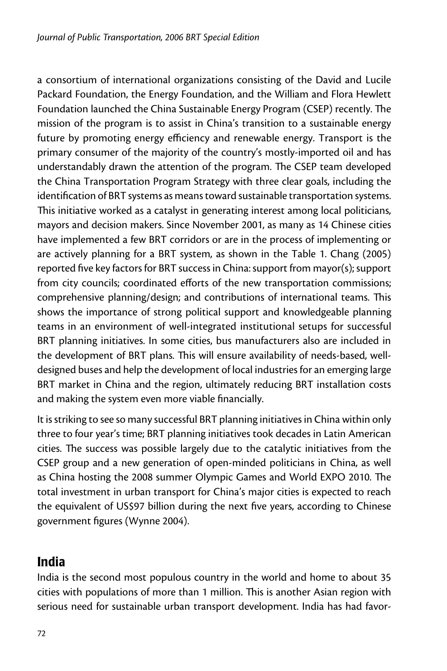a consortium of international organizations consisting of the David and Lucile Packard Foundation, the Energy Foundation, and the William and Flora Hewlett Foundation launched the China Sustainable Energy Program (CSEP) recently. The mission of the program is to assist in China's transition to a sustainable energy future by promoting energy efficiency and renewable energy. Transport is the primary consumer of the majority of the country's mostly-imported oil and has understandably drawn the attention of the program. The CSEP team developed the China Transportation Program Strategy with three clear goals, including the identification of BRT systems as means toward sustainable transportation systems. This initiative worked as a catalyst in generating interest among local politicians, mayors and decision makers. Since November 2001, as many as 14 Chinese cities have implemented a few BRT corridors or are in the process of implementing or are actively planning for a BRT system, as shown in the Table 1. Chang (2005) reported five key factors for BRT success in China: support from mayor(s); support from city councils; coordinated efforts of the new transportation commissions; comprehensive planning/design; and contributions of international teams. This shows the importance of strong political support and knowledgeable planning teams in an environment of well-integrated institutional setups for successful BRT planning initiatives. In some cities, bus manufacturers also are included in the development of BRT plans. This will ensure availability of needs-based, welldesigned buses and help the development of local industries for an emerging large BRT market in China and the region, ultimately reducing BRT installation costs and making the system even more viable financially.

It is striking to see so many successful BRT planning initiatives in China within only three to four year's time; BRT planning initiatives took decades in Latin American cities. The success was possible largely due to the catalytic initiatives from the CSEP group and a new generation of open-minded politicians in China, as well as China hosting the 2008 summer Olympic Games and World EXPO 2010. The total investment in urban transport for China's major cities is expected to reach the equivalent of US\$97 billion during the next five years, according to Chinese government figures (Wynne 2004).

## India

India is the second most populous country in the world and home to about 35 cities with populations of more than 1 million. This is another Asian region with serious need for sustainable urban transport development. India has had favor-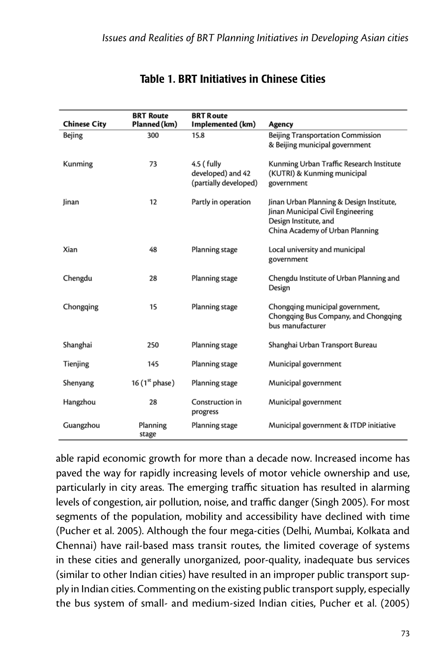| <b>Chinese City</b> | <b>BRT Route</b><br>Planned (km) | <b>BRT Route</b><br>Implemented (km)                     | Agency                                                                                                                                    |
|---------------------|----------------------------------|----------------------------------------------------------|-------------------------------------------------------------------------------------------------------------------------------------------|
| Bejing              | 300                              | 15.8                                                     | Beijing Transportation Commission<br>& Beijing municipal government                                                                       |
| Kunming             | 73                               | 4.5 (fully<br>developed) and 42<br>(partially developed) | Kunming Urban Traffic Research Institute<br>(KUTRI) & Kunming municipal<br>government                                                     |
| Jinan               | 12                               | Partly in operation                                      | Jinan Urban Planning & Design Institute,<br>Jinan Municipal Civil Engineering<br>Design Institute, and<br>China Academy of Urban Planning |
| Xian                | 48                               | Planning stage                                           | Local university and municipal<br>government                                                                                              |
| Chengdu             | 28                               | Planning stage                                           | Chengdu Institute of Urban Planning and<br>Design                                                                                         |
| Chongqing           | 15                               | Planning stage                                           | Chongqing municipal government,<br>Chongqing Bus Company, and Chongqing<br>bus manufacturer                                               |
| Shanghai            | 250                              | Planning stage                                           | Shanghai Urban Transport Bureau                                                                                                           |
| Tienjing            | 145                              | Planning stage                                           | Municipal government                                                                                                                      |
| Shenyang            | 16 $(1st phase)$                 | Planning stage                                           | Municipal government                                                                                                                      |
| Hangzhou            | 28                               | Construction in<br>progress                              | Municipal government                                                                                                                      |
| Guangzhou           | Planning<br>stage                | Planning stage                                           | Municipal government & ITDP initiative                                                                                                    |

#### Table 1. BRT Initiatives in Chinese Cities

able rapid economic growth for more than a decade now. Increased income has paved the way for rapidly increasing levels of motor vehicle ownership and use, particularly in city areas. The emerging traffic situation has resulted in alarming levels of congestion, air pollution, noise, and traffic danger (Singh 2005). For most segments of the population, mobility and accessibility have declined with time (Pucher et al. 2005). Although the four mega-cities (Delhi, Mumbai, Kolkata and Chennai) have rail-based mass transit routes, the limited coverage of systems in these cities and generally unorganized, poor-quality, inadequate bus services (similar to other Indian cities) have resulted in an improper public transport supply in Indian cities. Commenting on the existing public transport supply, especially the bus system of small- and medium-sized Indian cities, Pucher et al. (2005)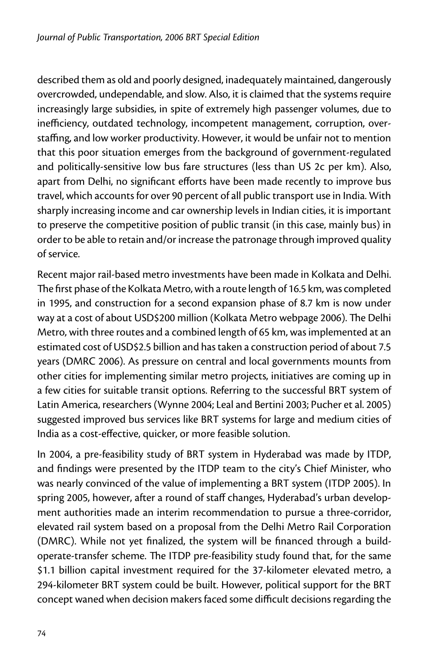described them as old and poorly designed, inadequately maintained, dangerously overcrowded, undependable, and slow. Also, it is claimed that the systems require increasingly large subsidies, in spite of extremely high passenger volumes, due to inefficiency, outdated technology, incompetent management, corruption, overstaffing, and low worker productivity. However, it would be unfair not to mention that this poor situation emerges from the background of government-regulated and politically-sensitive low bus fare structures (less than US 2c per km). Also, apart from Delhi, no significant efforts have been made recently to improve bus travel, which accounts for over 90 percent of all public transport use in India. With sharply increasing income and car ownership levels in Indian cities, it is important to preserve the competitive position of public transit (in this case, mainly bus) in order to be able to retain and/or increase the patronage through improved quality of service.

Recent major rail-based metro investments have been made in Kolkata and Delhi. The first phase of the Kolkata Metro, with a route length of 16.5 km, was completed in 1995, and construction for a second expansion phase of 8.7 km is now under way at a cost of about USD\$200 million (Kolkata Metro webpage 2006). The Delhi Metro, with three routes and a combined length of 65 km, was implemented at an estimated cost of USD\$2.5 billion and has taken a construction period of about 7.5 years (DMRC 2006). As pressure on central and local governments mounts from other cities for implementing similar metro projects, initiatives are coming up in a few cities for suitable transit options. Referring to the successful BRT system of Latin America, researchers (Wynne 2004; Leal and Bertini 2003; Pucher et al. 2005) suggested improved bus services like BRT systems for large and medium cities of India as a cost-effective, quicker, or more feasible solution.

In 2004, a pre-feasibility study of BRT system in Hyderabad was made by ITDP, and findings were presented by the ITDP team to the city's Chief Minister, who was nearly convinced of the value of implementing a BRT system (ITDP 2005). In spring 2005, however, after a round of staff changes, Hyderabad's urban development authorities made an interim recommendation to pursue a three-corridor, elevated rail system based on a proposal from the Delhi Metro Rail Corporation (DMRC). While not yet finalized, the system will be financed through a buildoperate-transfer scheme. The ITDP pre-feasibility study found that, for the same \$1.1 billion capital investment required for the 37-kilometer elevated metro, a 294-kilometer BRT system could be built. However, political support for the BRT concept waned when decision makers faced some difficult decisions regarding the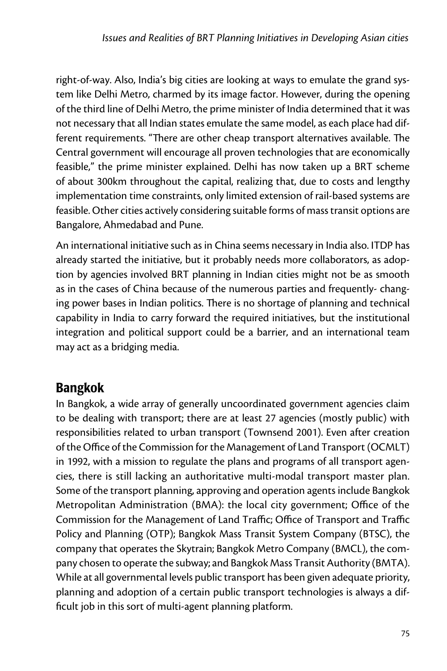right-of-way. Also, India's big cities are looking at ways to emulate the grand system like Delhi Metro, charmed by its image factor. However, during the opening of the third line of Delhi Metro, the prime minister of India determined that it was not necessary that all Indian states emulate the same model, as each place had different requirements. "There are other cheap transport alternatives available. The Central government will encourage all proven technologies that are economically feasible," the prime minister explained. Delhi has now taken up a BRT scheme of about 300km throughout the capital, realizing that, due to costs and lengthy implementation time constraints, only limited extension of rail-based systems are feasible. Other cities actively considering suitable forms of mass transit options are Bangalore, Ahmedabad and Pune.

An international initiative such as in China seems necessary in India also. ITDP has already started the initiative, but it probably needs more collaborators, as adoption by agencies involved BRT planning in Indian cities might not be as smooth as in the cases of China because of the numerous parties and frequently- changing power bases in Indian politics. There is no shortage of planning and technical capability in India to carry forward the required initiatives, but the institutional integration and political support could be a barrier, and an international team may act as a bridging media.

## Bangkok

In Bangkok, a wide array of generally uncoordinated government agencies claim to be dealing with transport; there are at least 27 agencies (mostly public) with responsibilities related to urban transport (Townsend 2001). Even after creation of the Office of the Commission for the Management of Land Transport (OCMLT) in 1992, with a mission to regulate the plans and programs of all transport agencies, there is still lacking an authoritative multi-modal transport master plan. Some of the transport planning, approving and operation agents include Bangkok Metropolitan Administration (BMA): the local city government; Office of the Commission for the Management of Land Traffic; Office of Transport and Traffic Policy and Planning (OTP); Bangkok Mass Transit System Company (BTSC), the company that operates the Skytrain; Bangkok Metro Company (BMCL), the company chosen to operate the subway; and Bangkok Mass Transit Authority (BMTA). While at all governmental levels public transport has been given adequate priority, planning and adoption of a certain public transport technologies is always a difficult job in this sort of multi-agent planning platform.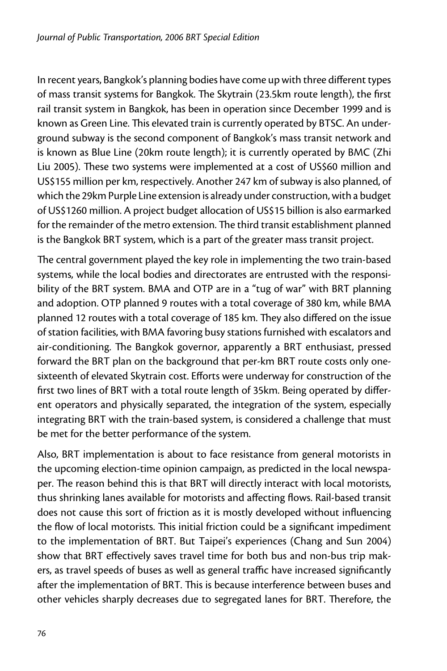In recent years, Bangkok's planning bodies have come up with three different types of mass transit systems for Bangkok. The Skytrain (23.5km route length), the first rail transit system in Bangkok, has been in operation since December 1999 and is known as Green Line. This elevated train is currently operated by BTSC. An underground subway is the second component of Bangkok's mass transit network and is known as Blue Line (20km route length); it is currently operated by BMC (Zhi Liu 2005). These two systems were implemented at a cost of US\$60 million and US\$155 million per km, respectively. Another 247 km of subway is also planned, of which the 29km Purple Line extension is already under construction, with a budget of US\$1260 million. A project budget allocation of US\$15 billion is also earmarked for the remainder of the metro extension. The third transit establishment planned is the Bangkok BRT system, which is a part of the greater mass transit project.

The central government played the key role in implementing the two train-based systems, while the local bodies and directorates are entrusted with the responsibility of the BRT system. BMA and OTP are in a "tug of war" with BRT planning and adoption. OTP planned 9 routes with a total coverage of 380 km, while BMA planned 12 routes with a total coverage of 185 km. They also differed on the issue of station facilities, with BMA favoring busy stations furnished with escalators and air-conditioning. The Bangkok governor, apparently a BRT enthusiast, pressed forward the BRT plan on the background that per-km BRT route costs only onesixteenth of elevated Skytrain cost. Efforts were underway for construction of the first two lines of BRT with a total route length of 35km. Being operated by different operators and physically separated, the integration of the system, especially integrating BRT with the train-based system, is considered a challenge that must be met for the better performance of the system.

Also, BRT implementation is about to face resistance from general motorists in the upcoming election-time opinion campaign, as predicted in the local newspaper. The reason behind this is that BRT will directly interact with local motorists, thus shrinking lanes available for motorists and affecting flows. Rail-based transit does not cause this sort of friction as it is mostly developed without influencing the flow of local motorists. This initial friction could be a significant impediment to the implementation of BRT. But Taipei's experiences (Chang and Sun 2004) show that BRT effectively saves travel time for both bus and non-bus trip makers, as travel speeds of buses as well as general traffic have increased significantly after the implementation of BRT. This is because interference between buses and other vehicles sharply decreases due to segregated lanes for BRT. Therefore, the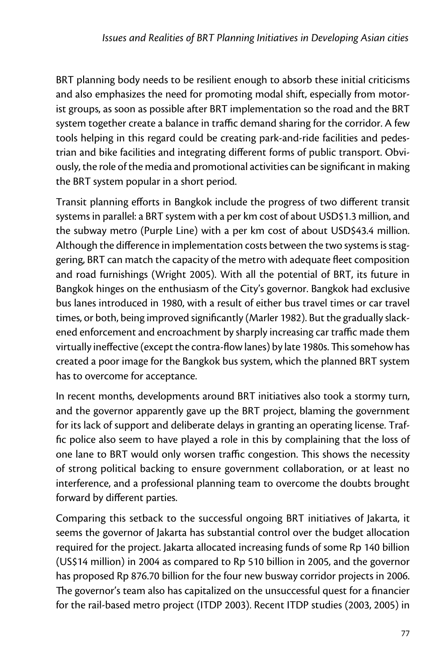BRT planning body needs to be resilient enough to absorb these initial criticisms and also emphasizes the need for promoting modal shift, especially from motorist groups, as soon as possible after BRT implementation so the road and the BRT system together create a balance in traffic demand sharing for the corridor. A few tools helping in this regard could be creating park-and-ride facilities and pedestrian and bike facilities and integrating different forms of public transport. Obviously, the role of the media and promotional activities can be significant in making the BRT system popular in a short period.

Transit planning efforts in Bangkok include the progress of two different transit systems in parallel: a BRT system with a per km cost of about USD\$1.3 million, and the subway metro (Purple Line) with a per km cost of about USD\$43.4 million. Although the difference in implementation costs between the two systems is staggering, BRT can match the capacity of the metro with adequate fleet composition and road furnishings (Wright 2005). With all the potential of BRT, its future in Bangkok hinges on the enthusiasm of the City's governor. Bangkok had exclusive bus lanes introduced in 1980, with a result of either bus travel times or car travel times, or both, being improved significantly (Marler 1982). But the gradually slackened enforcement and encroachment by sharply increasing car traffic made them virtually ineffective (except the contra-flow lanes) by late 1980s. This somehow has created a poor image for the Bangkok bus system, which the planned BRT system has to overcome for acceptance.

In recent months, developments around BRT initiatives also took a stormy turn, and the governor apparently gave up the BRT project, blaming the government for its lack of support and deliberate delays in granting an operating license. Traffic police also seem to have played a role in this by complaining that the loss of one lane to BRT would only worsen traffic congestion. This shows the necessity of strong political backing to ensure government collaboration, or at least no interference, and a professional planning team to overcome the doubts brought forward by different parties.

Comparing this setback to the successful ongoing BRT initiatives of Jakarta, it seems the governor of Jakarta has substantial control over the budget allocation required for the project. Jakarta allocated increasing funds of some Rp 140 billion (US\$14 million) in 2004 as compared to Rp 510 billion in 2005, and the governor has proposed Rp 876.70 billion for the four new busway corridor projects in 2006. The governor's team also has capitalized on the unsuccessful quest for a financier for the rail-based metro project (ITDP 2003). Recent ITDP studies (2003, 2005) in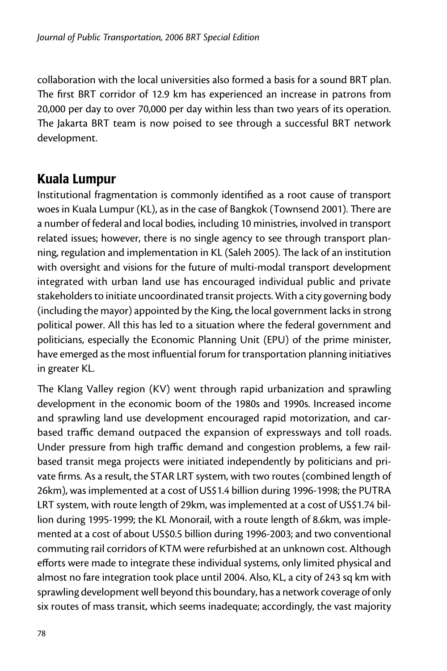collaboration with the local universities also formed a basis for a sound BRT plan. The first BRT corridor of 12.9 km has experienced an increase in patrons from 20,000 per day to over 70,000 per day within less than two years of its operation. The Jakarta BRT team is now poised to see through a successful BRT network development.

#### Kuala Lumpur

Institutional fragmentation is commonly identified as a root cause of transport woes in Kuala Lumpur (KL), as in the case of Bangkok (Townsend 2001). There are a number of federal and local bodies, including 10 ministries, involved in transport related issues; however, there is no single agency to see through transport planning, regulation and implementation in KL (Saleh 2005). The lack of an institution with oversight and visions for the future of multi-modal transport development integrated with urban land use has encouraged individual public and private stakeholders to initiate uncoordinated transit projects. With a city governing body (including the mayor) appointed by the King, the local government lacks in strong political power. All this has led to a situation where the federal government and politicians, especially the Economic Planning Unit (EPU) of the prime minister, have emerged as the most influential forum for transportation planning initiatives in greater KL.

The Klang Valley region (KV) went through rapid urbanization and sprawling development in the economic boom of the 1980s and 1990s. Increased income and sprawling land use development encouraged rapid motorization, and carbased traffic demand outpaced the expansion of expressways and toll roads. Under pressure from high traffic demand and congestion problems, a few railbased transit mega projects were initiated independently by politicians and private firms. As a result, the STAR LRT system, with two routes (combined length of 26km), was implemented at a cost of US\$1.4 billion during 1996-1998; the PUTRA LRT system, with route length of 29km, was implemented at a cost of US\$1.74 billion during 1995-1999; the KL Monorail, with a route length of 8.6km, was implemented at a cost of about US\$0.5 billion during 1996-2003; and two conventional commuting rail corridors of KTM were refurbished at an unknown cost. Although efforts were made to integrate these individual systems, only limited physical and almost no fare integration took place until 2004. Also, KL, a city of 243 sq km with sprawling development well beyond this boundary, has a network coverage of only six routes of mass transit, which seems inadequate; accordingly, the vast majority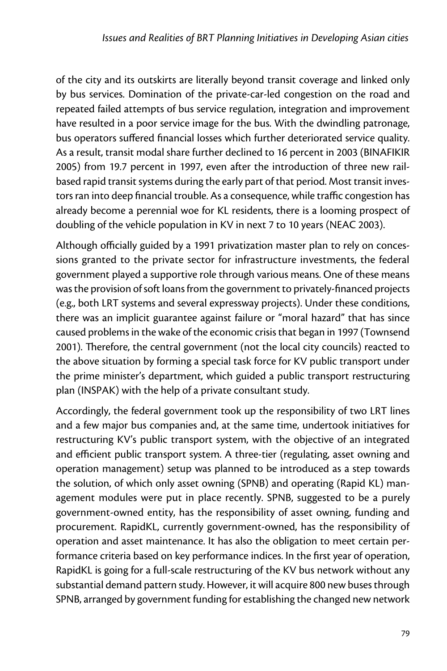of the city and its outskirts are literally beyond transit coverage and linked only by bus services. Domination of the private-car-led congestion on the road and repeated failed attempts of bus service regulation, integration and improvement have resulted in a poor service image for the bus. With the dwindling patronage, bus operators suffered financial losses which further deteriorated service quality. As a result, transit modal share further declined to 16 percent in 2003 (BINAFIKIR 2005) from 19.7 percent in 1997, even after the introduction of three new railbased rapid transit systems during the early part of that period. Most transit investors ran into deep financial trouble. As a consequence, while traffic congestion has already become a perennial woe for KL residents, there is a looming prospect of doubling of the vehicle population in KV in next 7 to 10 years (NEAC 2003).

Although officially guided by a 1991 privatization master plan to rely on concessions granted to the private sector for infrastructure investments, the federal government played a supportive role through various means. One of these means was the provision of soft loans from the government to privately-financed projects (e.g., both LRT systems and several expressway projects). Under these conditions, there was an implicit guarantee against failure or "moral hazard" that has since caused problems in the wake of the economic crisis that began in 1997 (Townsend 2001). Therefore, the central government (not the local city councils) reacted to the above situation by forming a special task force for KV public transport under the prime minister's department, which guided a public transport restructuring plan (INSPAK) with the help of a private consultant study.

Accordingly, the federal government took up the responsibility of two LRT lines and a few major bus companies and, at the same time, undertook initiatives for restructuring KV's public transport system, with the objective of an integrated and efficient public transport system. A three-tier (regulating, asset owning and operation management) setup was planned to be introduced as a step towards the solution, of which only asset owning (SPNB) and operating (Rapid KL) management modules were put in place recently. SPNB, suggested to be a purely government-owned entity, has the responsibility of asset owning, funding and procurement. RapidKL, currently government-owned, has the responsibility of operation and asset maintenance. It has also the obligation to meet certain performance criteria based on key performance indices. In the first year of operation, RapidKL is going for a full-scale restructuring of the KV bus network without any substantial demand pattern study. However, it will acquire 800 new buses through SPNB, arranged by government funding for establishing the changed new network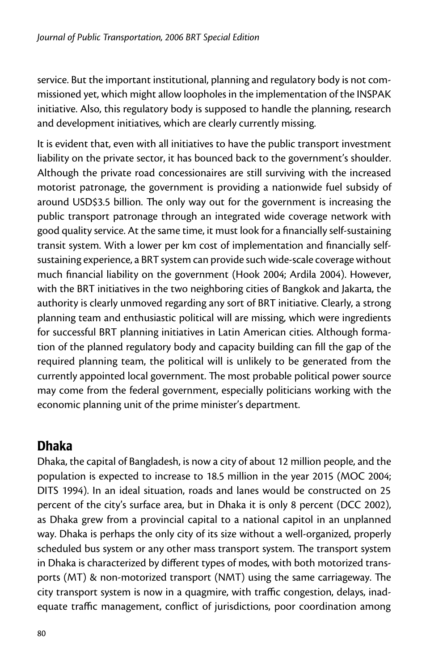service. But the important institutional, planning and regulatory body is not commissioned yet, which might allow loopholes in the implementation of the INSPAK initiative. Also, this regulatory body is supposed to handle the planning, research and development initiatives, which are clearly currently missing.

It is evident that, even with all initiatives to have the public transport investment liability on the private sector, it has bounced back to the government's shoulder. Although the private road concessionaires are still surviving with the increased motorist patronage, the government is providing a nationwide fuel subsidy of around USD\$3.5 billion. The only way out for the government is increasing the public transport patronage through an integrated wide coverage network with good quality service. At the same time, it must look for a financially self-sustaining transit system. With a lower per km cost of implementation and financially selfsustaining experience, a BRT system can provide such wide-scale coverage without much financial liability on the government (Hook 2004; Ardila 2004). However, with the BRT initiatives in the two neighboring cities of Bangkok and Jakarta, the authority is clearly unmoved regarding any sort of BRT initiative. Clearly, a strong planning team and enthusiastic political will are missing, which were ingredients for successful BRT planning initiatives in Latin American cities. Although formation of the planned regulatory body and capacity building can fill the gap of the required planning team, the political will is unlikely to be generated from the currently appointed local government. The most probable political power source may come from the federal government, especially politicians working with the economic planning unit of the prime minister's department.

#### Dhaka

Dhaka, the capital of Bangladesh, is now a city of about 12 million people, and the population is expected to increase to 18.5 million in the year 2015 (MOC 2004; DITS 1994). In an ideal situation, roads and lanes would be constructed on 25 percent of the city's surface area, but in Dhaka it is only 8 percent (DCC 2002), as Dhaka grew from a provincial capital to a national capitol in an unplanned way. Dhaka is perhaps the only city of its size without a well-organized, properly scheduled bus system or any other mass transport system. The transport system in Dhaka is characterized by different types of modes, with both motorized transports (MT) & non-motorized transport (NMT) using the same carriageway. The city transport system is now in a quagmire, with traffic congestion, delays, inadequate traffic management, conflict of jurisdictions, poor coordination among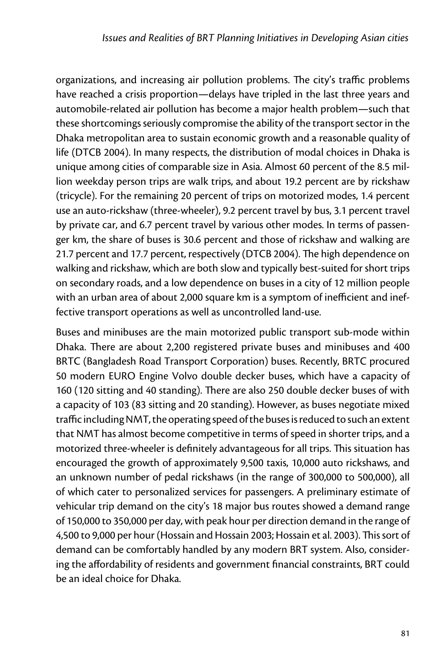organizations, and increasing air pollution problems. The city's traffic problems have reached a crisis proportion—delays have tripled in the last three years and automobile-related air pollution has become a major health problem—such that these shortcomings seriously compromise the ability of the transport sector in the Dhaka metropolitan area to sustain economic growth and a reasonable quality of life (DTCB 2004). In many respects, the distribution of modal choices in Dhaka is unique among cities of comparable size in Asia. Almost 60 percent of the 8.5 million weekday person trips are walk trips, and about 19.2 percent are by rickshaw (tricycle). For the remaining 20 percent of trips on motorized modes, 1.4 percent use an auto-rickshaw (three-wheeler), 9.2 percent travel by bus, 3.1 percent travel by private car, and 6.7 percent travel by various other modes. In terms of passenger km, the share of buses is 30.6 percent and those of rickshaw and walking are 21.7 percent and 17.7 percent, respectively (DTCB 2004). The high dependence on walking and rickshaw, which are both slow and typically best-suited for short trips on secondary roads, and a low dependence on buses in a city of 12 million people with an urban area of about 2,000 square km is a symptom of inefficient and ineffective transport operations as well as uncontrolled land-use.

Buses and minibuses are the main motorized public transport sub-mode within Dhaka. There are about 2,200 registered private buses and minibuses and 400 BRTC (Bangladesh Road Transport Corporation) buses. Recently, BRTC procured 50 modern EURO Engine Volvo double decker buses, which have a capacity of 160 (120 sitting and 40 standing). There are also 250 double decker buses of with a capacity of 103 (83 sitting and 20 standing). However, as buses negotiate mixed traffic including NMT, the operating speed of the buses is reduced to such an extent that NMT has almost become competitive in terms of speed in shorter trips, and a motorized three-wheeler is definitely advantageous for all trips. This situation has encouraged the growth of approximately 9,500 taxis, 10,000 auto rickshaws, and an unknown number of pedal rickshaws (in the range of 300,000 to 500,000), all of which cater to personalized services for passengers. A preliminary estimate of vehicular trip demand on the city's 18 major bus routes showed a demand range of 150,000 to 350,000 per day, with peak hour per direction demand in the range of 4,500 to 9,000 per hour (Hossain and Hossain 2003; Hossain et al. 2003). This sort of demand can be comfortably handled by any modern BRT system. Also, considering the affordability of residents and government financial constraints, BRT could be an ideal choice for Dhaka.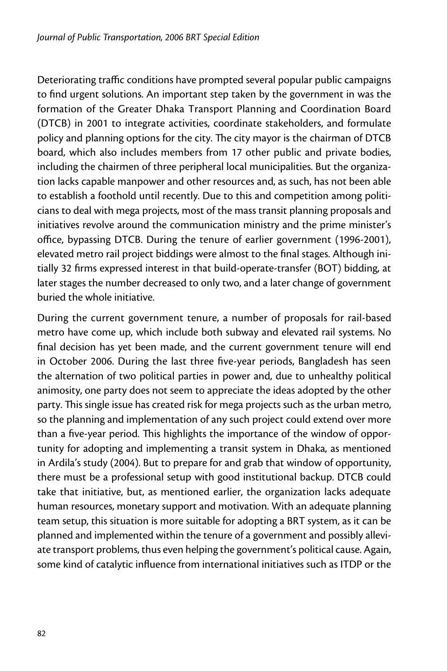Deteriorating traffic conditions have prompted several popular public campaigns to find urgent solutions. An important step taken by the government in was the formation of the Greater Dhaka Transport Planning and Coordination Board (DTCB) in 2001 to integrate activities, coordinate stakeholders, and formulate policy and planning options for the city. The city mayor is the chairman of DTCB board, which also includes members from 17 other public and private bodies, including the chairmen of three peripheral local municipalities. But the organization lacks capable manpower and other resources and, as such, has not been able to establish a foothold until recently. Due to this and competition among politicians to deal with mega projects, most of the mass transit planning proposals and initiatives revolve around the communication ministry and the prime minister's office, bypassing DTCB. During the tenure of earlier government (1996-2001), elevated metro rail project biddings were almost to the final stages. Although initially 32 firms expressed interest in that build-operate-transfer (BOT) bidding, at later stages the number decreased to only two, and a later change of government buried the whole initiative.

During the current government tenure, a number of proposals for rail-based metro have come up, which include both subway and elevated rail systems. No final decision has yet been made, and the current government tenure will end in October 2006. During the last three five-year periods, Bangladesh has seen the alternation of two political parties in power and, due to unhealthy political animosity, one party does not seem to appreciate the ideas adopted by the other party. This single issue has created risk for mega projects such as the urban metro, so the planning and implementation of any such project could extend over more than a five-year period. This highlights the importance of the window of opportunity for adopting and implementing a transit system in Dhaka, as mentioned in Ardila's study (2004). But to prepare for and grab that window of opportunity, there must be a professional setup with good institutional backup. DTCB could take that initiative, but, as mentioned earlier, the organization lacks adequate human resources, monetary support and motivation. With an adequate planning team setup, this situation is more suitable for adopting a BRT system, as it can be planned and implemented within the tenure of a government and possibly alleviate transport problems, thus even helping the government's political cause. Again, some kind of catalytic influence from international initiatives such as ITDP or the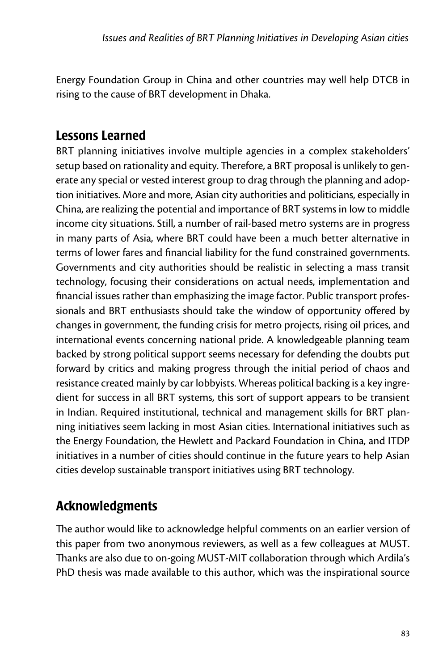Energy Foundation Group in China and other countries may well help DTCB in rising to the cause of BRT development in Dhaka.

#### Lessons Learned

BRT planning initiatives involve multiple agencies in a complex stakeholders' setup based on rationality and equity. Therefore, a BRT proposal is unlikely to generate any special or vested interest group to drag through the planning and adoption initiatives. More and more, Asian city authorities and politicians, especially in China, are realizing the potential and importance of BRT systems in low to middle income city situations. Still, a number of rail-based metro systems are in progress in many parts of Asia, where BRT could have been a much better alternative in terms of lower fares and financial liability for the fund constrained governments. Governments and city authorities should be realistic in selecting a mass transit technology, focusing their considerations on actual needs, implementation and financial issues rather than emphasizing the image factor. Public transport professionals and BRT enthusiasts should take the window of opportunity offered by changes in government, the funding crisis for metro projects, rising oil prices, and international events concerning national pride. A knowledgeable planning team backed by strong political support seems necessary for defending the doubts put forward by critics and making progress through the initial period of chaos and resistance created mainly by car lobbyists. Whereas political backing is a key ingredient for success in all BRT systems, this sort of support appears to be transient in Indian. Required institutional, technical and management skills for BRT planning initiatives seem lacking in most Asian cities. International initiatives such as the Energy Foundation, the Hewlett and Packard Foundation in China, and ITDP initiatives in a number of cities should continue in the future years to help Asian cities develop sustainable transport initiatives using BRT technology.

## Acknowledgments

The author would like to acknowledge helpful comments on an earlier version of this paper from two anonymous reviewers, as well as a few colleagues at MUST. Thanks are also due to on-going MUST-MIT collaboration through which Ardila's PhD thesis was made available to this author, which was the inspirational source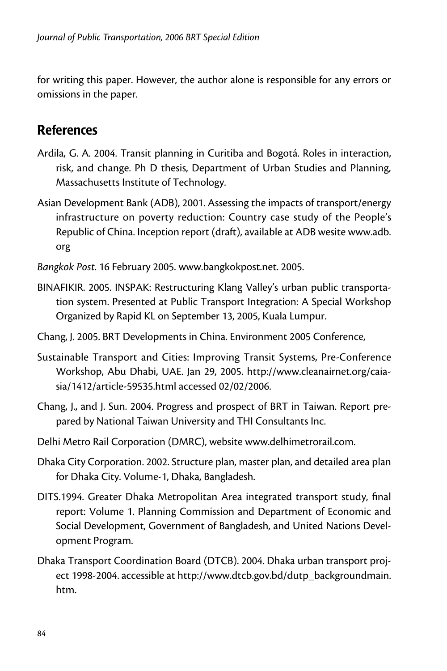for writing this paper. However, the author alone is responsible for any errors or omissions in the paper.

#### **References**

- Ardila, G. A. 2004. Transit planning in Curitiba and Bogotá. Roles in interaction, risk, and change. Ph D thesis, Department of Urban Studies and Planning, Massachusetts Institute of Technology.
- Asian Development Bank (ADB), 2001. Assessing the impacts of transport/energy infrastructure on poverty reduction: Country case study of the People's Republic of China. Inception report (draft), available at ADB wesite www.adb. org
- *Bangkok Post*. 16 February 2005. www.bangkokpost.net. 2005.
- BINAFIKIR. 2005. INSPAK: Restructuring Klang Valley's urban public transportation system. Presented at Public Transport Integration: A Special Workshop Organized by Rapid KL on September 13, 2005, Kuala Lumpur.
- Chang, J. 2005. BRT Developments in China. Environment 2005 Conference,
- Sustainable Transport and Cities: Improving Transit Systems, Pre-Conference Workshop, Abu Dhabi, UAE. Jan 29, 2005. http://www.cleanairnet.org/caiasia/1412/article-59535.html accessed 02/02/2006.
- Chang, J., and J. Sun. 2004. Progress and prospect of BRT in Taiwan. Report prepared by National Taiwan University and THI Consultants Inc.
- Delhi Metro Rail Corporation (DMRC), website www.delhimetrorail.com.
- Dhaka City Corporation. 2002. Structure plan, master plan, and detailed area plan for Dhaka City. Volume-1, Dhaka, Bangladesh.
- DITS.1994. Greater Dhaka Metropolitan Area integrated transport study, final report: Volume 1. Planning Commission and Department of Economic and Social Development, Government of Bangladesh, and United Nations Development Program.
- Dhaka Transport Coordination Board (DTCB). 2004. Dhaka urban transport project 1998-2004. accessible at http://www.dtcb.gov.bd/dutp\_backgroundmain. htm.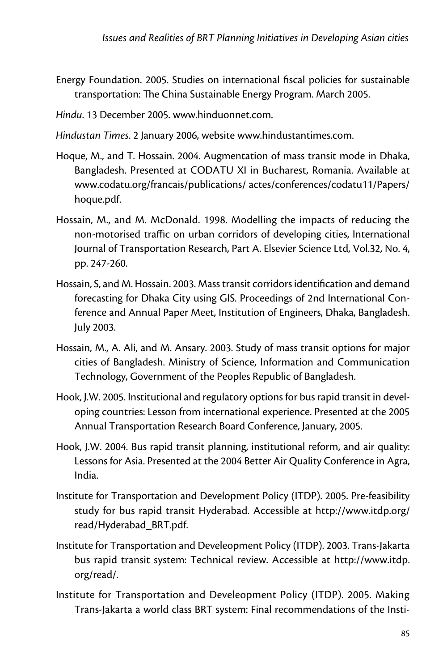- Energy Foundation. 2005. Studies on international fiscal policies for sustainable transportation: The China Sustainable Energy Program. March 2005.
- *Hindu*. 13 December 2005. www.hinduonnet.com.
- *Hindustan Times*. 2 January 2006, website www.hindustantimes.com.
- Hoque, M., and T. Hossain. 2004. Augmentation of mass transit mode in Dhaka, Bangladesh. Presented at CODATU XI in Bucharest, Romania. Available at www.codatu.org/francais/publications/ actes/conferences/codatu11/Papers/ hoque.pdf.
- Hossain, M., and M. McDonald. 1998. Modelling the impacts of reducing the non-motorised traffic on urban corridors of developing cities, International Journal of Transportation Research, Part A. Elsevier Science Ltd, Vol.32, No. 4, pp. 247-260.
- Hossain, S, and M. Hossain. 2003. Mass transit corridors identification and demand forecasting for Dhaka City using GIS. Proceedings of 2nd International Conference and Annual Paper Meet, Institution of Engineers, Dhaka, Bangladesh. July 2003.
- Hossain, M., A. Ali, and M. Ansary. 2003. Study of mass transit options for major cities of Bangladesh. Ministry of Science, Information and Communication Technology, Government of the Peoples Republic of Bangladesh.
- Hook, J.W. 2005. Institutional and regulatory options for bus rapid transit in developing countries: Lesson from international experience. Presented at the 2005 Annual Transportation Research Board Conference, January, 2005.
- Hook, J.W. 2004. Bus rapid transit planning, institutional reform, and air quality: Lessons for Asia. Presented at the 2004 Better Air Quality Conference in Agra, India.
- Institute for Transportation and Development Policy (ITDP). 2005. Pre-feasibility study for bus rapid transit Hyderabad. Accessible at http://www.itdp.org/ read/Hyderabad\_BRT.pdf.
- Institute for Transportation and Develeopment Policy (ITDP). 2003. Trans-Jakarta bus rapid transit system: Technical review. Accessible at http://www.itdp. org/read/.
- Institute for Transportation and Develeopment Policy (ITDP). 2005. Making Trans-Jakarta a world class BRT system: Final recommendations of the Insti-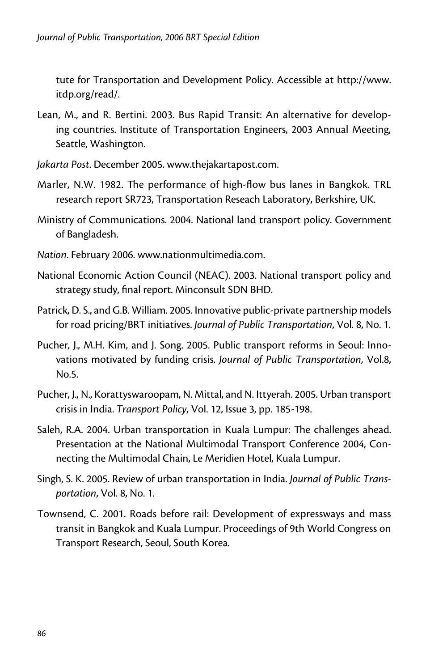tute for Transportation and Development Policy. Accessible at http://www. itdp.org/read/.

- Lean, M., and R. Bertini. 2003. Bus Rapid Transit: An alternative for developing countries. Institute of Transportation Engineers, 2003 Annual Meeting, Seattle, Washington.
- *Jakarta Post*. December 2005. www.thejakartapost.com.
- Marler, N.W. 1982. The performance of high-flow bus lanes in Bangkok. TRL research report SR723, Transportation Reseach Laboratory, Berkshire, UK.
- Ministry of Communications. 2004. National land transport policy. Government of Bangladesh.
- *Nation*. February 2006. www.nationmultimedia.com.
- National Economic Action Council (NEAC). 2003. National transport policy and strategy study, final report. Minconsult SDN BHD.
- Patrick, D. S., and G.B. William. 2005. Innovative public-private partnership models for road pricing/BRT initiatives. *Journal of Public Transportation*, Vol. 8, No. 1.
- Pucher, J., M.H. Kim, and J. Song. 2005. Public transport reforms in Seoul: Innovations motivated by funding crisis. *Journal of Public Transportation*, Vol.8, No.5.
- Pucher, J., N., Korattyswaroopam, N. Mittal, and N. Ittyerah. 2005. Urban transport crisis in India. *Transport Policy*, Vol. 12, Issue 3, pp. 185-198.
- Saleh, R.A. 2004. Urban transportation in Kuala Lumpur: The challenges ahead. Presentation at the National Multimodal Transport Conference 2004, Connecting the Multimodal Chain, Le Meridien Hotel, Kuala Lumpur.
- Singh, S. K. 2005. Review of urban transportation in India. *Journal of Public Transportation*, Vol. 8, No. 1.
- Townsend, C. 2001. Roads before rail: Development of expressways and mass transit in Bangkok and Kuala Lumpur. Proceedings of 9th World Congress on Transport Research, Seoul, South Korea.